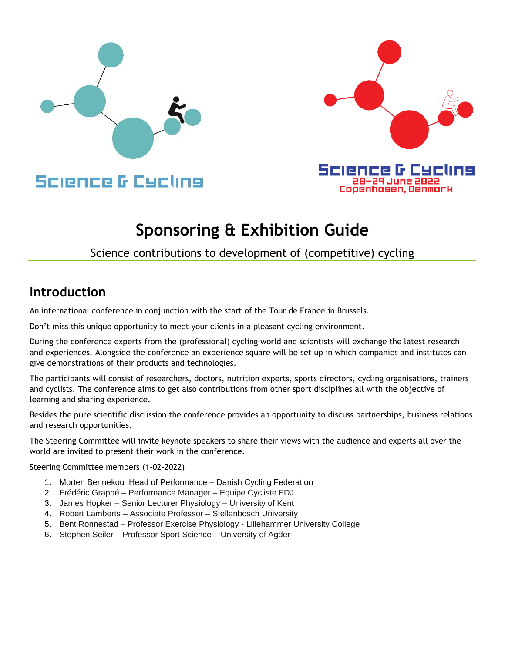



# **Sponsoring & Exhibition Guide**

# Science contributions to development of (competitive) cycling

# **Introduction**

An international conference in conjunction with the start of the Tour de France in Brussels.

Don't miss this unique opportunity to meet your clients in a pleasant cycling environment.

During the conference experts from the (professional) cycling world and scientists will exchange the latest research and experiences. Alongside the conference an experience square will be set up in which companies and institutes can give demonstrations of their products and technologies.

The participants will consist of researchers, doctors, nutrition experts, sports directors, cycling organisations, trainers and cyclists. The conference aims to get also contributions from other sport disciplines all with the objective of learning and sharing experience.

Besides the pure scientific discussion the conference provides an opportunity to discuss partnerships, business relations and research opportunities.

The Steering Committee will invite keynote speakers to share their views with the audience and experts all over the world are invited to present their work in the conference.

#### Steering Committee members (1-02-2022)

- 1. Morten Bennekou Head of Performance Danish Cycling Federation
- 2. Frédéric Grappé Performance Manager Equipe Cycliste FDJ
- 3. James Hopker Senior Lecturer Physiology University of Kent
- 4. Robert Lamberts Associate Professor Stellenbosch University
- 5. Bent Ronnestad Professor Exercise Physiology Lillehammer University College
- 6. Stephen Seiler Professor Sport Science University of Agder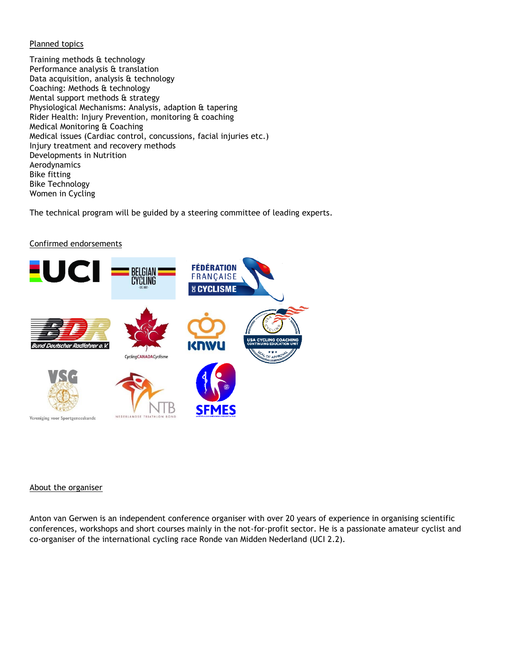#### Planned topics

Training methods & technology Performance analysis & translation Data acquisition, analysis & technology Coaching: Methods & technology Mental support methods & strategy Physiological Mechanisms: Analysis, adaption & tapering Rider Health: Injury Prevention, monitoring & coaching Medical Monitoring & Coaching Medical issues (Cardiac control, concussions, facial injuries etc.) Injury treatment and recovery methods Developments in Nutrition Aerodynamics Bike fitting Bike Technology Women in Cycling

The technical program will be guided by a steering committee of leading experts.

#### Confirmed endorsements



#### About the organiser

Anton van Gerwen is an independent conference organiser with over 20 years of experience in organising scientific conferences, workshops and short courses mainly in the not-for-profit sector. He is a passionate amateur cyclist and co-organiser of the international cycling race Ronde van Midden Nederland (UCI 2.2).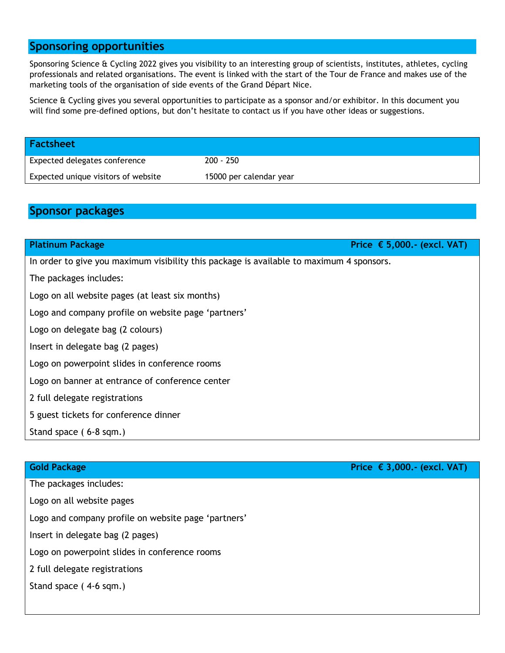# **Sponsoring opportunities**

Sponsoring Science & Cycling 2022 gives you visibility to an interesting group of scientists, institutes, athletes, cycling professionals and related organisations. The event is linked with the start of the Tour de France and makes use of the marketing tools of the organisation of side events of the Grand Départ Nice.

Science & Cycling gives you several opportunities to participate as a sponsor and/or exhibitor. In this document you will find some pre-defined options, but don't hesitate to contact us if you have other ideas or suggestions.

| <b>Factsheet</b>                    |                         |
|-------------------------------------|-------------------------|
| Expected delegates conference       | $200 - 250$             |
| Expected unique visitors of website | 15000 per calendar year |

# **Sponsor packages**

| Price $\epsilon$ 5,000.- (excl. VAT)<br><b>Platinum Package</b>                          |  |  |  |  |
|------------------------------------------------------------------------------------------|--|--|--|--|
| In order to give you maximum visibility this package is available to maximum 4 sponsors. |  |  |  |  |
| The packages includes:                                                                   |  |  |  |  |
| Logo on all website pages (at least six months)                                          |  |  |  |  |
| Logo and company profile on website page 'partners'                                      |  |  |  |  |
| Logo on delegate bag (2 colours)                                                         |  |  |  |  |
| Insert in delegate bag (2 pages)                                                         |  |  |  |  |
| Logo on powerpoint slides in conference rooms                                            |  |  |  |  |
| Logo on banner at entrance of conference center                                          |  |  |  |  |
| 2 full delegate registrations                                                            |  |  |  |  |
| 5 guest tickets for conference dinner                                                    |  |  |  |  |
| Stand space (6-8 sqm.)                                                                   |  |  |  |  |

| <b>Gold Package</b>                                 | Price $\epsilon$ 3,000.- (excl. VAT) |
|-----------------------------------------------------|--------------------------------------|
| The packages includes:                              |                                      |
| Logo on all website pages                           |                                      |
| Logo and company profile on website page 'partners' |                                      |
| Insert in delegate bag (2 pages)                    |                                      |
| Logo on powerpoint slides in conference rooms       |                                      |
| 2 full delegate registrations                       |                                      |
| Stand space (4-6 sqm.)                              |                                      |
|                                                     |                                      |